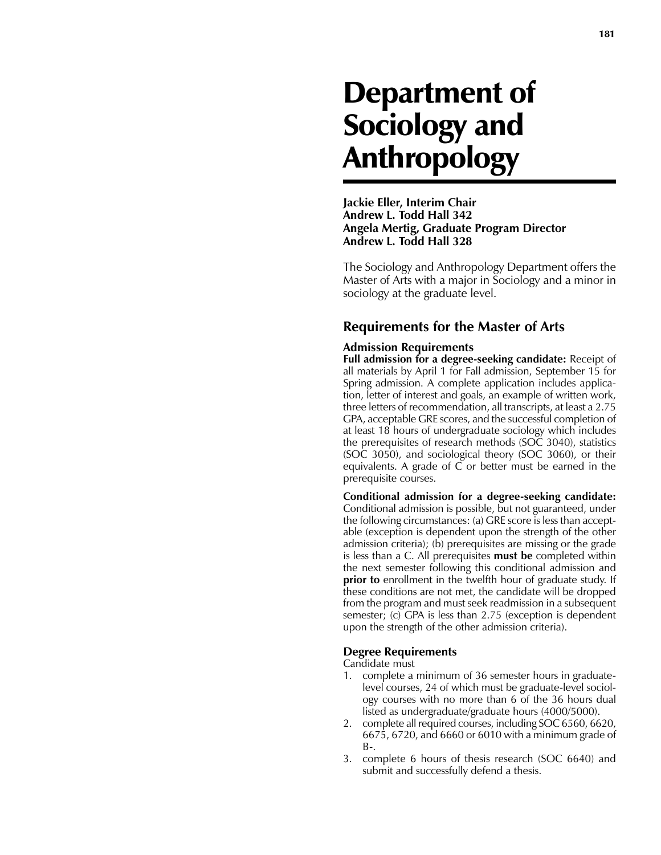# Department of Sociology and Anthropology

**Jackie Eller, Interim Chair Andrew L. Todd Hall 342 Angela Mertig, Graduate Program Director Andrew L. Todd Hall 328**

The Sociology and Anthropology Department offers the Master of Arts with a major in Sociology and a minor in sociology at the graduate level.

## **Requirements for the Master of Arts**

#### **Admission Requirements**

**Full admission for a degree-seeking candidate:** Receipt of all materials by April 1 for Fall admission, September 15 for Spring admission. A complete application includes application, letter of interest and goals, an example of written work, three letters of recommendation, all transcripts, at least a 2.75 GPA, acceptable GRE scores, and the successful completion of at least 18 hours of undergraduate sociology which includes the prerequisites of research methods (SOC 3040), statistics (SOC 3050), and sociological theory (SOC 3060), or their equivalents. A grade of C or better must be earned in the prerequisite courses.

**Conditional admission for a degree-seeking candidate:** Conditional admission is possible, but not guaranteed, under the following circumstances: (a) GRE score is less than acceptable (exception is dependent upon the strength of the other admission criteria); (b) prerequisites are missing or the grade is less than a C. All prerequisites **must be** completed within the next semester following this conditional admission and **prior to** enrollment in the twelfth hour of graduate study. If these conditions are not met, the candidate will be dropped from the program and must seek readmission in a subsequent semester; (c) GPA is less than 2.75 (exception is dependent upon the strength of the other admission criteria).

#### **Degree Requirements**

Candidate must

- 1. complete a minimum of 36 semester hours in graduatelevel courses, 24 of which must be graduate-level sociology courses with no more than 6 of the 36 hours dual listed as undergraduate/graduate hours (4000/5000).
- 2. complete all required courses, including SOC 6560, 6620, 6675, 6720, and 6660 or 6010 with a minimum grade of B-.
- 3. complete 6 hours of thesis research (SOC 6640) and submit and successfully defend a thesis.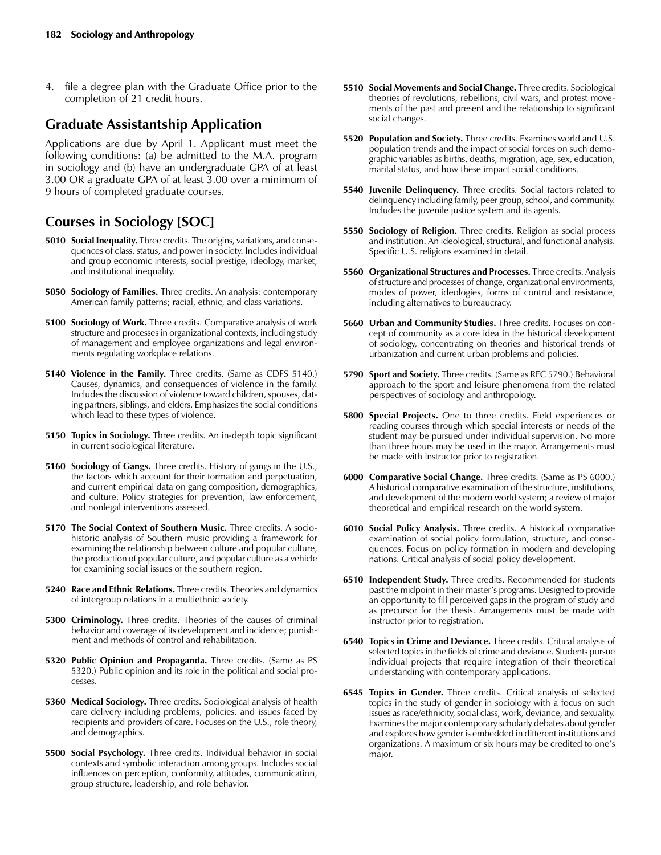4. file a degree plan with the Graduate Office prior to the completion of 21 credit hours.

# **Graduate Assistantship Application**

Applications are due by April 1. Applicant must meet the following conditions: (a) be admitted to the M.A. program in sociology and (b) have an undergraduate GPA of at least 3.00 OR a graduate GPA of at least 3.00 over a minimum of 9 hours of completed graduate courses.

# **Courses in Sociology [SOC]**

- **5010 Social Inequality.** Three credits. The origins, variations, and consequences of class, status, and power in society. Includes individual and group economic interests, social prestige, ideology, market, and institutional inequality.
- **5050 Sociology of Families.** Three credits. An analysis: contemporary American family patterns; racial, ethnic, and class variations.
- **5100 Sociology of Work.** Three credits. Comparative analysis of work structure and processes in organizational contexts, including study of management and employee organizations and legal environments regulating workplace relations.
- **5140 Violence in the Family.** Three credits. (Same as CDFS 5140.) Causes, dynamics, and consequences of violence in the family. Includes the discussion of violence toward children, spouses, dating partners, siblings, and elders. Emphasizes the social conditions which lead to these types of violence.
- **5150 Topics in Sociology.** Three credits. An in-depth topic significant in current sociological literature.
- **5160 Sociology of Gangs.** Three credits. History of gangs in the U.S., the factors which account for their formation and perpetuation, and current empirical data on gang composition, demographics, and culture. Policy strategies for prevention, law enforcement, and nonlegal interventions assessed.
- **5170 The Social Context of Southern Music.** Three credits. A sociohistoric analysis of Southern music providing a framework for examining the relationship between culture and popular culture, the production of popular culture, and popular culture as a vehicle for examining social issues of the southern region.
- **5240 Race and Ethnic Relations.** Three credits. Theories and dynamics of intergroup relations in a multiethnic society.
- **5300 Criminology.** Three credits. Theories of the causes of criminal behavior and coverage of its development and incidence; punishment and methods of control and rehabilitation.
- **5320 Public Opinion and Propaganda.** Three credits. (Same as PS 5320.) Public opinion and its role in the political and social processes.
- **5360 Medical Sociology.** Three credits. Sociological analysis of health care delivery including problems, policies, and issues faced by recipients and providers of care. Focuses on the U.S., role theory, and demographics.
- **5500 Social Psychology.** Three credits. Individual behavior in social contexts and symbolic interaction among groups. Includes social influences on perception, conformity, attitudes, communication, group structure, leadership, and role behavior.
- **5510 Social Movements and Social Change.** Three credits. Sociological theories of revolutions, rebellions, civil wars, and protest movements of the past and present and the relationship to significant social changes.
- **5520 Population and Society.** Three credits. Examines world and U.S. population trends and the impact of social forces on such demographic variables as births, deaths, migration, age, sex, education, marital status, and how these impact social conditions.
- **5540 Juvenile Delinquency.** Three credits. Social factors related to delinquency including family, peer group, school, and community. Includes the juvenile justice system and its agents.
- **5550 Sociology of Religion.** Three credits. Religion as social process and institution. An ideological, structural, and functional analysis. Specific U.S. religions examined in detail.
- **5560 Organizational Structures and Processes.** Three credits. Analysis of structure and processes of change, organizational environments, modes of power, ideologies, forms of control and resistance, including alternatives to bureaucracy.
- **5660 Urban and Community Studies.** Three credits. Focuses on concept of community as a core idea in the historical development of sociology, concentrating on theories and historical trends of urbanization and current urban problems and policies.
- **5790 Sport and Society.** Three credits. (Same as REC 5790.) Behavioral approach to the sport and leisure phenomena from the related perspectives of sociology and anthropology.
- **5800 Special Projects.** One to three credits. Field experiences or reading courses through which special interests or needs of the student may be pursued under individual supervision. No more than three hours may be used in the major. Arrangements must be made with instructor prior to registration.
- **6000 Comparative Social Change.** Three credits. (Same as PS 6000.) A historical comparative examination of the structure, institutions, and development of the modern world system; a review of major theoretical and empirical research on the world system.
- **6010 Social Policy Analysis.** Three credits. A historical comparative examination of social policy formulation, structure, and consequences. Focus on policy formation in modern and developing nations. Critical analysis of social policy development.
- **6510 Independent Study.** Three credits. Recommended for students past the midpoint in their master's programs. Designed to provide an opportunity to fill perceived gaps in the program of study and as precursor for the thesis. Arrangements must be made with instructor prior to registration.
- **6540 Topics in Crime and Deviance.** Three credits. Critical analysis of selected topics in the fields of crime and deviance. Students pursue individual projects that require integration of their theoretical understanding with contemporary applications.
- **6545 Topics in Gender.** Three credits. Critical analysis of selected topics in the study of gender in sociology with a focus on such issues as race/ethnicity, social class, work, deviance, and sexuality. Examines the major contemporary scholarly debates about gender and explores how gender is embedded in different institutions and organizations. A maximum of six hours may be credited to one's major.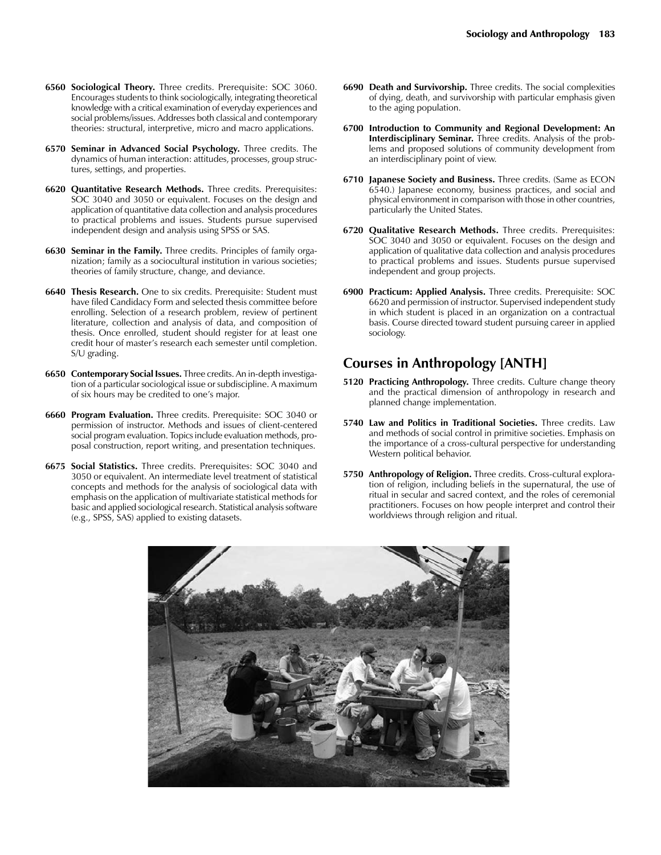- **6560 Sociological Theory.** Three credits. Prerequisite: SOC 3060. Encourages students to think sociologically, integrating theoretical knowledge with a critical examination of everyday experiences and social problems/issues. Addresses both classical and contemporary theories: structural, interpretive, micro and macro applications.
- **6570 Seminar in Advanced Social Psychology.** Three credits. The dynamics of human interaction: attitudes, processes, group structures, settings, and properties.
- **6620 Quantitative Research Methods.** Three credits. Prerequisites: SOC 3040 and 3050 or equivalent. Focuses on the design and application of quantitative data collection and analysis procedures to practical problems and issues. Students pursue supervised independent design and analysis using SPSS or SAS.
- **6630 Seminar in the Family.** Three credits. Principles of family organization; family as a sociocultural institution in various societies; theories of family structure, change, and deviance.
- **6640 Thesis Research.** One to six credits. Prerequisite: Student must have filed Candidacy Form and selected thesis committee before enrolling. Selection of a research problem, review of pertinent literature, collection and analysis of data, and composition of thesis. Once enrolled, student should register for at least one credit hour of master's research each semester until completion. S/U grading.
- **6650 Contemporary Social Issues.** Three credits. An in-depth investigation of a particular sociological issue or subdiscipline. A maximum of six hours may be credited to one's major.
- **6660 Program Evaluation.** Three credits. Prerequisite: SOC 3040 or permission of instructor. Methods and issues of client-centered social program evaluation. Topics include evaluation methods, proposal construction, report writing, and presentation techniques.
- **6675 Social Statistics.** Three credits. Prerequisites: SOC 3040 and 3050 or equivalent. An intermediate level treatment of statistical concepts and methods for the analysis of sociological data with emphasis on the application of multivariate statistical methods for basic and applied sociological research. Statistical analysis software (e.g., SPSS, SAS) applied to existing datasets.
- **6690 Death and Survivorship.** Three credits. The social complexities of dying, death, and survivorship with particular emphasis given to the aging population.
- **6700 Introduction to Community and Regional Development: An Interdisciplinary Seminar.** Three credits. Analysis of the problems and proposed solutions of community development from an interdisciplinary point of view.
- **6710 Japanese Society and Business.** Three credits. (Same as ECON 6540.) Japanese economy, business practices, and social and physical environment in comparison with those in other countries, particularly the United States.
- **6720 Qualitative Research Methods.** Three credits. Prerequisites: SOC 3040 and 3050 or equivalent. Focuses on the design and application of qualitative data collection and analysis procedures to practical problems and issues. Students pursue supervised independent and group projects.
- **6900 Practicum: Applied Analysis.** Three credits. Prerequisite: SOC 6620 and permission of instructor. Supervised independent study in which student is placed in an organization on a contractual basis. Course directed toward student pursuing career in applied sociology.

## **Courses in Anthropology [ANTH]**

- **5120 Practicing Anthropology.** Three credits. Culture change theory and the practical dimension of anthropology in research and planned change implementation.
- **5740 Law and Politics in Traditional Societies.** Three credits. Law and methods of social control in primitive societies. Emphasis on the importance of a cross-cultural perspective for understanding Western political behavior.
- **5750 Anthropology of Religion.** Three credits. Cross-cultural exploration of religion, including beliefs in the supernatural, the use of ritual in secular and sacred context, and the roles of ceremonial practitioners. Focuses on how people interpret and control their worldviews through religion and ritual.